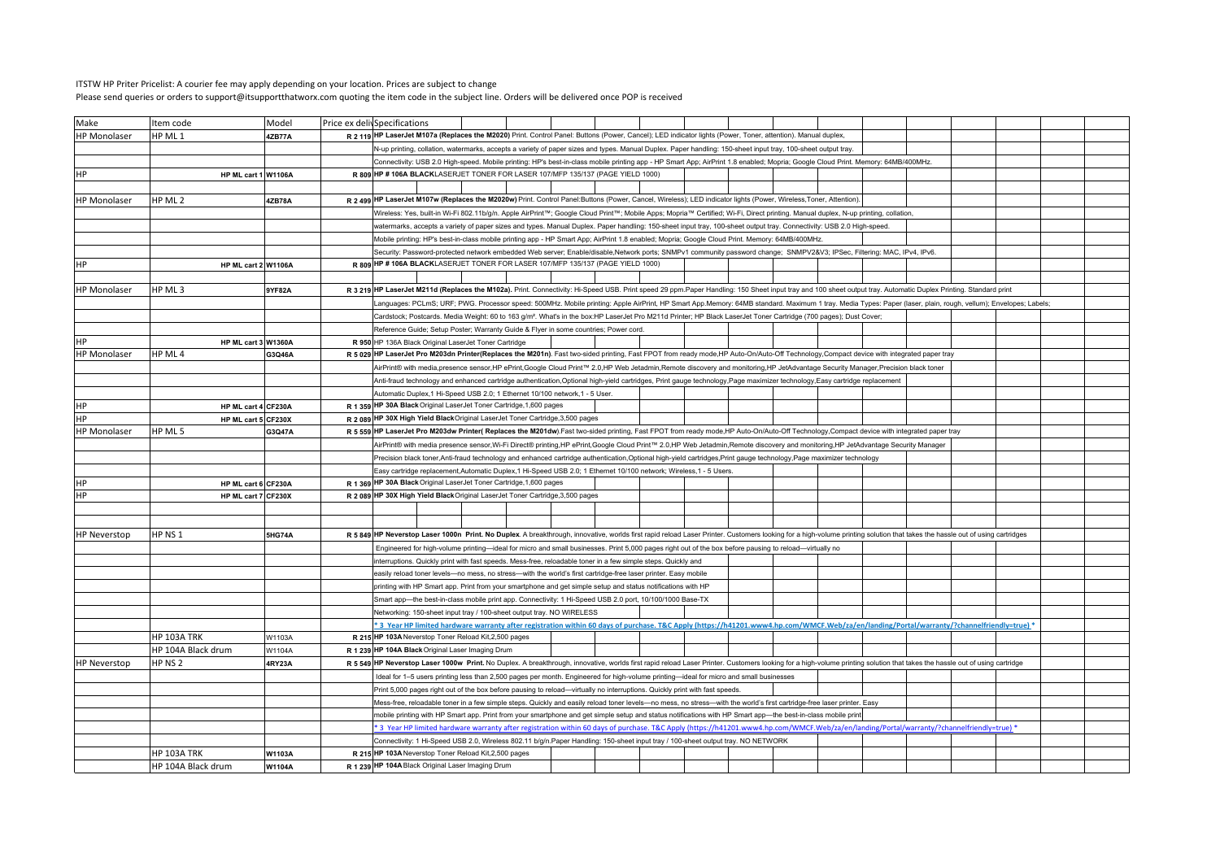## ITSTW HP Priter Pricelist: A courier fee may apply depending on your location. Prices are subject to changePlease send queries or orders to support@itsupportthatworx.com quoting the item code in the subject line. Orders will be delivered once POP is received

| Make                | Item code           | Model         | Price ex delivSpecifications |                                                                                                                                                                                                                             |                                                                                                                                                                                                                                                                       |                                                                                                                                                                                                                            |  |  |  |  |  |  |  |  |  |  |  |  |
|---------------------|---------------------|---------------|------------------------------|-----------------------------------------------------------------------------------------------------------------------------------------------------------------------------------------------------------------------------|-----------------------------------------------------------------------------------------------------------------------------------------------------------------------------------------------------------------------------------------------------------------------|----------------------------------------------------------------------------------------------------------------------------------------------------------------------------------------------------------------------------|--|--|--|--|--|--|--|--|--|--|--|--|
| HP Monolaser        | HP ML 1             | 4ZB77A        |                              |                                                                                                                                                                                                                             |                                                                                                                                                                                                                                                                       | R 2 119 HP LaserJet M107a (Replaces the M2020) Print. Control Panel: Buttons (Power, Cancel); LED indicator lights (Power, Toner, attention). Manual duplex,                                                               |  |  |  |  |  |  |  |  |  |  |  |  |
|                     |                     |               |                              |                                                                                                                                                                                                                             |                                                                                                                                                                                                                                                                       | N-up printing, collation, watermarks, accepts a variety of paper sizes and types. Manual Duplex. Paper handling: 150-sheet input tray, 100-sheet output tray.                                                              |  |  |  |  |  |  |  |  |  |  |  |  |
|                     |                     |               |                              | Connectivity: USB 2.0 High-speed. Mobile printing: HP's best-in-class mobile printing app - HP Smart App; AirPrint 1.8 enabled; Mopria; Google Cloud Print. Memory: 64MB/400MHz.                                            |                                                                                                                                                                                                                                                                       |                                                                                                                                                                                                                            |  |  |  |  |  |  |  |  |  |  |  |  |
| НP                  | HP ML cart 1 W1106A |               |                              |                                                                                                                                                                                                                             |                                                                                                                                                                                                                                                                       | R 809 HP # 106A BLACKLASERJET TONER FOR LASER 107/MFP 135/137 (PAGE YIELD 1000)                                                                                                                                            |  |  |  |  |  |  |  |  |  |  |  |  |
|                     |                     |               |                              |                                                                                                                                                                                                                             |                                                                                                                                                                                                                                                                       |                                                                                                                                                                                                                            |  |  |  |  |  |  |  |  |  |  |  |  |
| <b>HP Monolaser</b> | HP ML 2             | 4ZB78A        |                              |                                                                                                                                                                                                                             |                                                                                                                                                                                                                                                                       | R 2 499 HP LaserJet M107w (Replaces the M2020w) Print. Control Panel:Buttons (Power, Cancel, Wireless); LED indicator lights (Power, Wireless, Toner, Attentior                                                            |  |  |  |  |  |  |  |  |  |  |  |  |
|                     |                     |               |                              |                                                                                                                                                                                                                             |                                                                                                                                                                                                                                                                       | Wireless: Yes, built-in Wi-Fi 802.11b/g/n. Apple AirPrint™, Google Cloud Print™; Mobile Apps; Mopria™ Certified; Wi-Fi, Direct printing. Manual duplex, N-up printing, collation,                                          |  |  |  |  |  |  |  |  |  |  |  |  |
|                     |                     |               |                              |                                                                                                                                                                                                                             |                                                                                                                                                                                                                                                                       | watermarks, accepts a variety of paper sizes and types. Manual Duplex. Paper handling: 150-sheet input tray, 100-sheet output tray. Connectivity: USB 2.0 High-speed.                                                      |  |  |  |  |  |  |  |  |  |  |  |  |
|                     |                     |               |                              |                                                                                                                                                                                                                             |                                                                                                                                                                                                                                                                       | Mobile printing: HP's best-in-class mobile printing app - HP Smart App; AirPrint 1.8 enabled; Mopria; Google Cloud Print. Memory: 64MB/400MHz                                                                              |  |  |  |  |  |  |  |  |  |  |  |  |
|                     |                     |               |                              |                                                                                                                                                                                                                             |                                                                                                                                                                                                                                                                       | Security: Password-protected network embedded Web server; Enable/disable,Network ports; SNMPv1 community password change; SNMPV2&V3 IPSec, Filtering: MAC, IPv4, IPv6.                                                     |  |  |  |  |  |  |  |  |  |  |  |  |
| <b>HP</b>           | HP ML cart 2 W1106A |               |                              |                                                                                                                                                                                                                             |                                                                                                                                                                                                                                                                       | R 809 HP #106A BLACKLASERJET TONER FOR LASER 107/MFP 135/137 (PAGE YIELD 1000)                                                                                                                                             |  |  |  |  |  |  |  |  |  |  |  |  |
|                     |                     |               |                              |                                                                                                                                                                                                                             |                                                                                                                                                                                                                                                                       |                                                                                                                                                                                                                            |  |  |  |  |  |  |  |  |  |  |  |  |
| <b>HP Monolaser</b> | HP ML 3             |               |                              |                                                                                                                                                                                                                             |                                                                                                                                                                                                                                                                       | R 3 219 HP LaserJet M211d (Replaces the M102a). Print. Connectivity: Hi-Speed USB. Print speed 29 ppm. Paper Handling: 150 Sheet input tray and 100 sheet output tray. Automatic Duplex Printing. Standard print           |  |  |  |  |  |  |  |  |  |  |  |  |
|                     |                     | 9YF82A        |                              |                                                                                                                                                                                                                             |                                                                                                                                                                                                                                                                       |                                                                                                                                                                                                                            |  |  |  |  |  |  |  |  |  |  |  |  |
|                     |                     |               |                              |                                                                                                                                                                                                                             |                                                                                                                                                                                                                                                                       | Languages: PCLmS; URF; PWG. Processor speed: 500MHz. Mobile printing: Apple AirPrint, HP Smart App.Memory: 64MB standard. Maximum 1 tray. Media Types: Paper (laser, plain, rough, vellum); Envelopes; Labels;             |  |  |  |  |  |  |  |  |  |  |  |  |
|                     |                     |               |                              |                                                                                                                                                                                                                             |                                                                                                                                                                                                                                                                       | Cardstock; Postcards. Media Weight: 60 to 163 g/m <sup>2</sup> . What's in the box:HP LaserJet Pro M211d Printer; HP Black LaserJet Toner Cartridge (700 pages); Dust Cover;                                               |  |  |  |  |  |  |  |  |  |  |  |  |
|                     |                     |               |                              |                                                                                                                                                                                                                             |                                                                                                                                                                                                                                                                       | Reference Guide; Setup Poster; Warranty Guide & Flyer in some countries; Power cord                                                                                                                                        |  |  |  |  |  |  |  |  |  |  |  |  |
|                     | HP ML cart 3 W1360A |               |                              |                                                                                                                                                                                                                             |                                                                                                                                                                                                                                                                       | R 950 HP 136A Black Original LaserJet Toner Cartridge                                                                                                                                                                      |  |  |  |  |  |  |  |  |  |  |  |  |
| <b>HP Monolaser</b> | HP ML 4             | G3Q46A        |                              | R 5 029 HP LaserJet Pro M203dn Printer(Replaces the M201n). Fast two-sided printing, Fast FPOT from ready mode, HP Auto-On/Auto-Off Technology, Compact device with integrated paper tray                                   |                                                                                                                                                                                                                                                                       |                                                                                                                                                                                                                            |  |  |  |  |  |  |  |  |  |  |  |  |
|                     |                     |               |                              |                                                                                                                                                                                                                             | AirPrint® with media,presence sensor,HP ePrint,Google Cloud Print™ 2.0,HP Web Jetadmin,Remote discovery and monitoring,HP JetAdvantage Security Manager,Precision black toner                                                                                         |                                                                                                                                                                                                                            |  |  |  |  |  |  |  |  |  |  |  |  |
|                     |                     |               |                              |                                                                                                                                                                                                                             | Anti-fraud technology and enhanced cartridge authentication,Optional high-yield cartridges, Print gauge technology,Page maximizer technology,Easy cartridge replacement                                                                                               |                                                                                                                                                                                                                            |  |  |  |  |  |  |  |  |  |  |  |  |
|                     |                     |               |                              |                                                                                                                                                                                                                             |                                                                                                                                                                                                                                                                       | Automatic Duplex, 1 Hi-Speed USB 2.0; 1 Ethernet 10/100 network, 1 - 5 User.                                                                                                                                               |  |  |  |  |  |  |  |  |  |  |  |  |
| HP                  | HP ML cart 4 CF230A |               |                              |                                                                                                                                                                                                                             |                                                                                                                                                                                                                                                                       | R 1 359 HP 30A Black Original LaserJet Toner Cartridge, 1,600 pages                                                                                                                                                        |  |  |  |  |  |  |  |  |  |  |  |  |
| HP                  | HP ML cart 5 CF230X |               |                              |                                                                                                                                                                                                                             |                                                                                                                                                                                                                                                                       | R 2 089 HP 30X High Yield BlackOriginal LaserJet Toner Cartridge, 3,500 pages                                                                                                                                              |  |  |  |  |  |  |  |  |  |  |  |  |
| <b>HP Monolaser</b> | HP ML 5             | G3Q47A        |                              |                                                                                                                                                                                                                             |                                                                                                                                                                                                                                                                       | R 5 559 HP LaserJet Pro M203dw Printer( Replaces the M201dw). Fast two-sided printing, Fast FPOT from ready mode, HP Auto-On/Auto-Off Technology, Compact device with integrated paper tray                                |  |  |  |  |  |  |  |  |  |  |  |  |
|                     |                     |               |                              |                                                                                                                                                                                                                             |                                                                                                                                                                                                                                                                       | AirPrint® with media presence sensor,Wi-Fi Direct® printing,HP ePrint,Google Cloud Print™ 2.0,HP Web Jetadmin,Remote discovery and monitoring,HP JetAdvantage Security Manager                                             |  |  |  |  |  |  |  |  |  |  |  |  |
|                     |                     |               |                              |                                                                                                                                                                                                                             |                                                                                                                                                                                                                                                                       | Precision black toner,Anti-fraud technology and enhanced cartridge authentication,Optional high-yield cartridges,Print gauge technology,Page maximizer technology                                                          |  |  |  |  |  |  |  |  |  |  |  |  |
|                     |                     |               |                              |                                                                                                                                                                                                                             |                                                                                                                                                                                                                                                                       | Easy cartridge replacement,Automatic Duplex,1 Hi-Speed USB 2.0; 1 Ethernet 10/100 network; Wireless,1 - 5 Users.                                                                                                           |  |  |  |  |  |  |  |  |  |  |  |  |
| HP                  | HP ML cart 6 CF230A |               |                              |                                                                                                                                                                                                                             |                                                                                                                                                                                                                                                                       | R 1 369 HP 30A Black Original LaserJet Toner Cartridge, 1,600 pages                                                                                                                                                        |  |  |  |  |  |  |  |  |  |  |  |  |
| HP                  | HP ML cart 7 CF230X |               |                              |                                                                                                                                                                                                                             | R 2 089 HP 30X High Yield Black Original LaserJet Toner Cartridge, 3,500 pages                                                                                                                                                                                        |                                                                                                                                                                                                                            |  |  |  |  |  |  |  |  |  |  |  |  |
|                     |                     |               |                              |                                                                                                                                                                                                                             |                                                                                                                                                                                                                                                                       |                                                                                                                                                                                                                            |  |  |  |  |  |  |  |  |  |  |  |  |
|                     |                     |               |                              |                                                                                                                                                                                                                             |                                                                                                                                                                                                                                                                       |                                                                                                                                                                                                                            |  |  |  |  |  |  |  |  |  |  |  |  |
| <b>HP Neverstop</b> | HP NS 1             | <b>5HG74A</b> |                              | R 5 849 HP Neverstop Laser 1000n Print. No Duplex. A breakthrough, innovative, worlds first rapid reload Laser Printer. Customers looking for a high-volume printing solution that takes the hassle out of using cartridges |                                                                                                                                                                                                                                                                       |                                                                                                                                                                                                                            |  |  |  |  |  |  |  |  |  |  |  |  |
|                     |                     |               |                              |                                                                                                                                                                                                                             |                                                                                                                                                                                                                                                                       | Engineered for high-volume printing-ideal for micro and small businesses. Print 5,000 pages right out of the box before pausing to reload-virtually no                                                                     |  |  |  |  |  |  |  |  |  |  |  |  |
|                     |                     |               |                              |                                                                                                                                                                                                                             |                                                                                                                                                                                                                                                                       | interruptions. Quickly print with fast speeds. Mess-free, reloadable toner in a few simple steps. Quickly and                                                                                                              |  |  |  |  |  |  |  |  |  |  |  |  |
|                     |                     |               |                              |                                                                                                                                                                                                                             |                                                                                                                                                                                                                                                                       | easily reload toner levels- no mess, no stress- with the world's first cartridge-free laser printer. Easy mobile                                                                                                           |  |  |  |  |  |  |  |  |  |  |  |  |
|                     |                     |               |                              |                                                                                                                                                                                                                             |                                                                                                                                                                                                                                                                       | printing with HP Smart app. Print from your smartphone and get simple setup and status notifications with HP                                                                                                               |  |  |  |  |  |  |  |  |  |  |  |  |
|                     |                     |               |                              |                                                                                                                                                                                                                             |                                                                                                                                                                                                                                                                       | Smart app-the best-in-class mobile print app. Connectivity: 1 Hi-Speed USB 2.0 port, 10/100/1000 Base-TX                                                                                                                   |  |  |  |  |  |  |  |  |  |  |  |  |
|                     |                     |               |                              |                                                                                                                                                                                                                             |                                                                                                                                                                                                                                                                       | Networking: 150-sheet input tray / 100-sheet output tray. NO WIRELESS                                                                                                                                                      |  |  |  |  |  |  |  |  |  |  |  |  |
|                     |                     |               |                              |                                                                                                                                                                                                                             |                                                                                                                                                                                                                                                                       | *3 Year HP limited hardware warranty after registration within 60 days of purchase. T&C Apply (https://h41201.www4.hp.com/WMCF.Web/za/en/landing/Portal/warranty/?channelfriendly=true) *                                  |  |  |  |  |  |  |  |  |  |  |  |  |
|                     | HP 103A TRK         | W1103A        |                              |                                                                                                                                                                                                                             |                                                                                                                                                                                                                                                                       | R 215 HP 103A Neverstop Toner Reload Kit, 2,500 pages                                                                                                                                                                      |  |  |  |  |  |  |  |  |  |  |  |  |
|                     | HP 104A Black drum  | W1104A        |                              |                                                                                                                                                                                                                             |                                                                                                                                                                                                                                                                       | R 1 239 HP 104A Black Original Laser Imaging Drum                                                                                                                                                                          |  |  |  |  |  |  |  |  |  |  |  |  |
| <b>HP Neverstop</b> | HP NS 2             | 4RY23A        |                              |                                                                                                                                                                                                                             |                                                                                                                                                                                                                                                                       | R 5 549 HP Neverstop Laser 1000w Print. No Duplex. A breakthrough, innovative, worlds first rapid reload Laser Printer. Customers looking for a high-volume printing solution that takes the hassle out of using cartridge |  |  |  |  |  |  |  |  |  |  |  |  |
|                     |                     |               |                              |                                                                                                                                                                                                                             |                                                                                                                                                                                                                                                                       |                                                                                                                                                                                                                            |  |  |  |  |  |  |  |  |  |  |  |  |
|                     |                     |               |                              |                                                                                                                                                                                                                             | Ideal for 1-5 users printing less than 2,500 pages per month. Engineered for high-volume printing-ideal for micro and small businesses<br>Print 5,000 pages right out of the box before pausing to reload—virtually no interruptions. Quickly print with fast speeds. |                                                                                                                                                                                                                            |  |  |  |  |  |  |  |  |  |  |  |  |
|                     |                     |               |                              |                                                                                                                                                                                                                             |                                                                                                                                                                                                                                                                       | Mess-free, reloadable toner in a few simple steps. Quickly and easily reload toner levels-no mess, no stress--with the world's first cartridge-free laser printer. Easy                                                    |  |  |  |  |  |  |  |  |  |  |  |  |
|                     |                     |               |                              |                                                                                                                                                                                                                             |                                                                                                                                                                                                                                                                       | mobile printing with HP Smart app. Print from your smartphone and get simple setup and status notifications with HP Smart app-the best-in-class mobile print                                                               |  |  |  |  |  |  |  |  |  |  |  |  |
|                     |                     |               |                              |                                                                                                                                                                                                                             |                                                                                                                                                                                                                                                                       | * 3 Year HP limited hardware warranty after registration within 60 days of purchase. T&C Apply (https://h41201.www4.hp.com/WMCF.Web/za/en/landing/Portal/warranty/?channelfriendly=true) *                                 |  |  |  |  |  |  |  |  |  |  |  |  |
|                     |                     |               |                              |                                                                                                                                                                                                                             |                                                                                                                                                                                                                                                                       | Connectivity: 1 Hi-Speed USB 2.0, Wireless 802.11 b/g/n.Paper Handling: 150-sheet input tray / 100-sheet output tray. NO NETWORK                                                                                           |  |  |  |  |  |  |  |  |  |  |  |  |
|                     |                     |               |                              |                                                                                                                                                                                                                             |                                                                                                                                                                                                                                                                       | R 215 HP 103A Neverstop Toner Reload Kit, 2,500 pages                                                                                                                                                                      |  |  |  |  |  |  |  |  |  |  |  |  |
|                     | <b>HP 103A TRK</b>  | W1103A        |                              |                                                                                                                                                                                                                             |                                                                                                                                                                                                                                                                       |                                                                                                                                                                                                                            |  |  |  |  |  |  |  |  |  |  |  |  |
|                     | HP 104A Black drum  | W1104A        |                              |                                                                                                                                                                                                                             |                                                                                                                                                                                                                                                                       | R 1 239 HP 104A Black Original Laser Imaging Drum                                                                                                                                                                          |  |  |  |  |  |  |  |  |  |  |  |  |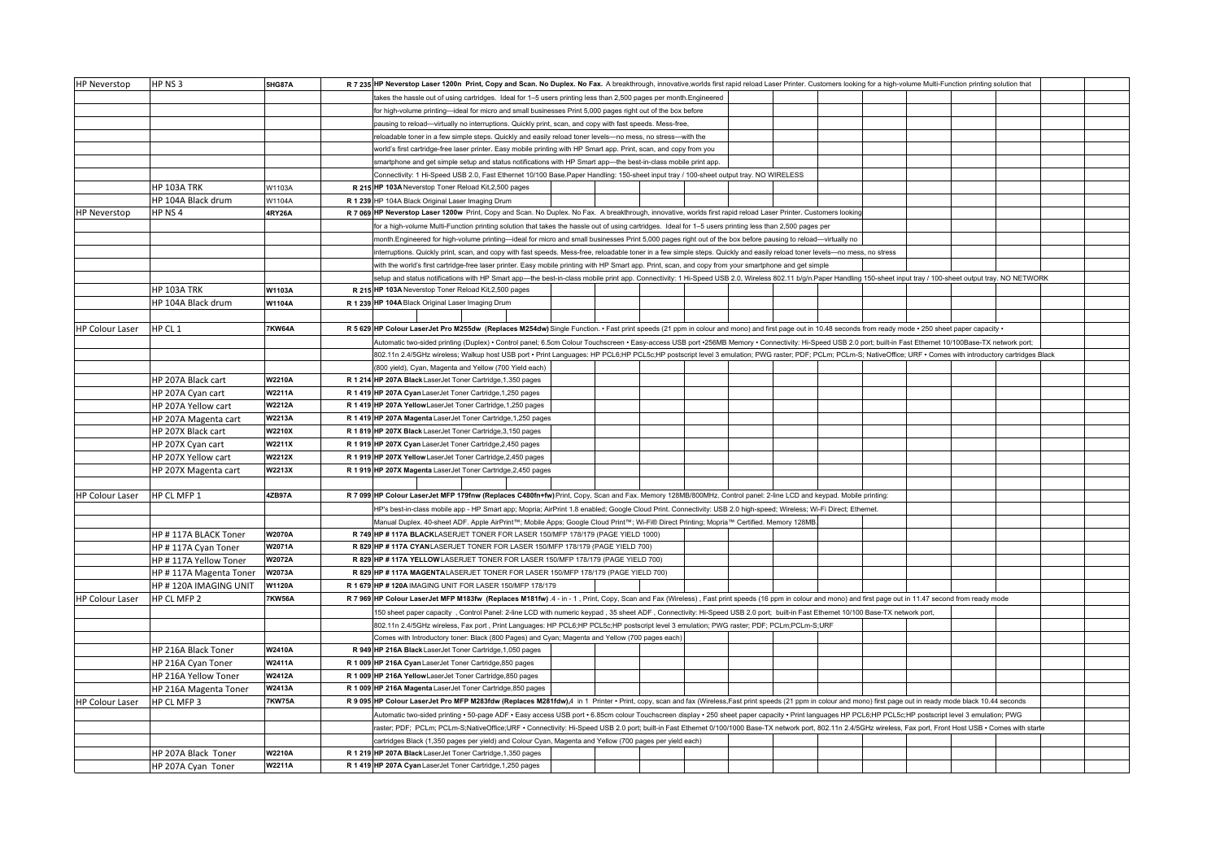| <b>HP Neverstop</b>    | HP NS 3                                         | <b>5HG87A</b>           |  | R 7 235 HP Neverstop Laser 1200n Print, Copy and Scan. No Duplex. No Fax. A breakthrough, innovative, worlds first rapid reload Laser Printer. Customers looking for a high-volume Multi-Function printing solution that |                                                                                                                                                                                                           |  |  |  |  |  |  |  |  |  |  |  |  |
|------------------------|-------------------------------------------------|-------------------------|--|--------------------------------------------------------------------------------------------------------------------------------------------------------------------------------------------------------------------------|-----------------------------------------------------------------------------------------------------------------------------------------------------------------------------------------------------------|--|--|--|--|--|--|--|--|--|--|--|--|
|                        |                                                 |                         |  | takes the hassle out of using cartridges. Ideal for 1-5 users printing less than 2,500 pages per month.Engineered                                                                                                        |                                                                                                                                                                                                           |  |  |  |  |  |  |  |  |  |  |  |  |
|                        |                                                 |                         |  | for high-volume printing-ideal for micro and small businesses Print 5,000 pages right out of the box before                                                                                                              |                                                                                                                                                                                                           |  |  |  |  |  |  |  |  |  |  |  |  |
|                        |                                                 |                         |  | pausing to reload--virtually no interruptions. Quickly print, scan, and copy with fast speeds. Mess-free,                                                                                                                |                                                                                                                                                                                                           |  |  |  |  |  |  |  |  |  |  |  |  |
|                        |                                                 |                         |  | reloadable toner in a few simple steps. Quickly and easily reload toner levels-no mess, no stress--with the                                                                                                              |                                                                                                                                                                                                           |  |  |  |  |  |  |  |  |  |  |  |  |
|                        |                                                 |                         |  | world's first cartridge-free laser printer. Easy mobile printing with HP Smart app. Print, scan, and copy from you                                                                                                       |                                                                                                                                                                                                           |  |  |  |  |  |  |  |  |  |  |  |  |
|                        |                                                 |                         |  | smartphone and get simple setup and status notifications with HP Smart app-the best-in-class mobile print app.                                                                                                           |                                                                                                                                                                                                           |  |  |  |  |  |  |  |  |  |  |  |  |
|                        |                                                 |                         |  | Connectivity: 1 Hi-Speed USB 2.0, Fast Ethernet 10/100 Base.Paper Handling: 150-sheet input tray / 100-sheet output tray. NO WIRELESS                                                                                    |                                                                                                                                                                                                           |  |  |  |  |  |  |  |  |  |  |  |  |
|                        | <b>HP 103A TRK</b>                              |                         |  | R 215 HP 103A Neverstop Toner Reload Kit, 2,500 pages                                                                                                                                                                    |                                                                                                                                                                                                           |  |  |  |  |  |  |  |  |  |  |  |  |
|                        | HP 104A Black drum                              | W1103A<br>W1104A        |  |                                                                                                                                                                                                                          |                                                                                                                                                                                                           |  |  |  |  |  |  |  |  |  |  |  |  |
|                        |                                                 |                         |  | R 1 239 HP 104A Black Original Laser Imaging Drum                                                                                                                                                                        |                                                                                                                                                                                                           |  |  |  |  |  |  |  |  |  |  |  |  |
| <b>HP Neverstop</b>    | HP NS 4                                         | 4RY26A                  |  | R 7 069 HP Neverstop Laser 1200w Print, Copy and Scan. No Duplex. No Fax. A breakthrough, innovative, worlds first rapid reload Laser Printer. Customers looking                                                         |                                                                                                                                                                                                           |  |  |  |  |  |  |  |  |  |  |  |  |
|                        |                                                 |                         |  |                                                                                                                                                                                                                          | for a high-volume Multi-Function printing solution that takes the hassle out of using cartridges. Ideal for 1-5 users printing less than 2,500 pages per                                                  |  |  |  |  |  |  |  |  |  |  |  |  |
|                        |                                                 |                         |  | month.Engineered for high-volume printing-ideal for micro and small businesses Print 5,000 pages right out of the box before pausing to reload-virtually no                                                              |                                                                                                                                                                                                           |  |  |  |  |  |  |  |  |  |  |  |  |
|                        |                                                 |                         |  | interruptions. Quickly print, scan, and copy with fast speeds. Mess-free, reloadable toner in a few simple steps. Quickly and easily reload toner levels- no mess, no stress                                             |                                                                                                                                                                                                           |  |  |  |  |  |  |  |  |  |  |  |  |
|                        |                                                 |                         |  | with the world's first cartridge-free laser printer. Easy mobile printing with HP Smart app. Print, scan, and copy from your smartphone and get simple                                                                   |                                                                                                                                                                                                           |  |  |  |  |  |  |  |  |  |  |  |  |
|                        |                                                 |                         |  | setup and status notifications with HP Smart app-the best-in-class mobile print app. Connectivity: 1 Hi-Speed USB 2.0, Wireless 802.11 b/g/n.Paper Handling 150-sheet input tray / 100-sheet output tray. NO NETWORK     |                                                                                                                                                                                                           |  |  |  |  |  |  |  |  |  |  |  |  |
|                        | <b>HP 103A TRK</b>                              | W1103A                  |  | R 215 HP 103A Neverstop Toner Reload Kit, 2,500 pages                                                                                                                                                                    |                                                                                                                                                                                                           |  |  |  |  |  |  |  |  |  |  |  |  |
|                        | HP 104A Black drum                              | W1104A                  |  | R 1 239 HP 104A Black Original Laser Imaging Drum                                                                                                                                                                        |                                                                                                                                                                                                           |  |  |  |  |  |  |  |  |  |  |  |  |
|                        |                                                 |                         |  |                                                                                                                                                                                                                          |                                                                                                                                                                                                           |  |  |  |  |  |  |  |  |  |  |  |  |
| <b>HP Colour Laser</b> | HP CL 1                                         | 7KW64A                  |  |                                                                                                                                                                                                                          | R 5 629 HP Colour LaserJet Pro M255dw (Replaces M254dw) Single Function. · Fast print speeds (21 ppm in colour and mono) and first page out in 10.48 seconds from ready mode · 250 sheet paper capacity · |  |  |  |  |  |  |  |  |  |  |  |  |
|                        |                                                 |                         |  | Automatic two-sided printing (Duplex) • Control panel; 6.5cm Colour Touchscreen • Easy-access USB port •256MB Memory • Connectivity: Hi-Speed USB 2.0 port; built-in Fast Ethernet 10/100Base-TX network port;           |                                                                                                                                                                                                           |  |  |  |  |  |  |  |  |  |  |  |  |
|                        |                                                 |                         |  | 802.11n 2.4/5GHz wireless; Walkup host USB port · Print Languages: HP PCL6;HP PCL5c;HP postscript level 3 emulation; PWG raster; PDF; PCLm; PCLm-S; NativeOffice; URF · Comes with introductory cartridges Black         |                                                                                                                                                                                                           |  |  |  |  |  |  |  |  |  |  |  |  |
|                        |                                                 |                         |  | (800 yield), Cyan, Magenta and Yellow (700 Yield each)                                                                                                                                                                   |                                                                                                                                                                                                           |  |  |  |  |  |  |  |  |  |  |  |  |
|                        | HP 207A Black cart                              | <b>W2210A</b>           |  | R 1 214 HP 207A Black LaserJet Toner Cartridge, 1,350 pages                                                                                                                                                              |                                                                                                                                                                                                           |  |  |  |  |  |  |  |  |  |  |  |  |
|                        | HP 207A Cyan cart                               | <b>W2211A</b>           |  | R 1 419 HP 207A Cyan LaserJet Toner Cartridge, 1,250 pages                                                                                                                                                               |                                                                                                                                                                                                           |  |  |  |  |  |  |  |  |  |  |  |  |
|                        | HP 207A Yellow cart                             | <b>W2212A</b>           |  | R 1 419 HP 207A Yellow Laser Jet Toner Cartridge, 1,250 pages                                                                                                                                                            |                                                                                                                                                                                                           |  |  |  |  |  |  |  |  |  |  |  |  |
|                        | HP 207A Magenta cart                            | W2213A                  |  | R 1 419 HP 207A Magenta LaserJet Toner Cartridge, 1,250 pages                                                                                                                                                            |                                                                                                                                                                                                           |  |  |  |  |  |  |  |  |  |  |  |  |
|                        | HP 207X Black cart                              | <b>W2210X</b>           |  | R 1 819 HP 207X Black LaserJet Toner Cartridge, 3,150 pages                                                                                                                                                              |                                                                                                                                                                                                           |  |  |  |  |  |  |  |  |  |  |  |  |
|                        | HP 207X Cyan cart                               | <b>W2211X</b>           |  | R 1 919 HP 207X Cyan LaserJet Toner Cartridge, 2,450 pages                                                                                                                                                               |                                                                                                                                                                                                           |  |  |  |  |  |  |  |  |  |  |  |  |
|                        | HP 207X Yellow cart                             | W2212X                  |  | R 1 919 HP 207X Yellow LaserJet Toner Cartridge, 2,450 pages                                                                                                                                                             |                                                                                                                                                                                                           |  |  |  |  |  |  |  |  |  |  |  |  |
|                        | HP 207X Magenta cart                            | W2213X                  |  | R 1 919 HP 207X Magenta LaserJet Toner Cartridge.2.450 pages                                                                                                                                                             |                                                                                                                                                                                                           |  |  |  |  |  |  |  |  |  |  |  |  |
|                        |                                                 |                         |  |                                                                                                                                                                                                                          |                                                                                                                                                                                                           |  |  |  |  |  |  |  |  |  |  |  |  |
| <b>HP Colour Laser</b> | HP CL MFP 1                                     | 4ZB97A                  |  | R 7 099 HP Colour LaserJet MFP 179fnw (Replaces C480fn+fw) Print, Copy, Scan and Fax. Memory 128MB/800MHz. Control panel: 2-line LCD and keypad. Mobile printing:                                                        |                                                                                                                                                                                                           |  |  |  |  |  |  |  |  |  |  |  |  |
|                        |                                                 |                         |  | HP's best-in-class mobile app - HP Smart app; Mopria; AirPrint 1.8 enabled; Google Cloud Print. Connectivity: USB 2.0 high-speed; Wireless; Wi-Fi Direct; Ethernet.                                                      |                                                                                                                                                                                                           |  |  |  |  |  |  |  |  |  |  |  |  |
|                        |                                                 |                         |  | Manual Duplex. 40-sheet ADF. Apple AirPrint™; Mobile Apps; Google Cloud Print™; Wi-Fi® Direct Printing; Mopria™ Certified. Memory 128MB                                                                                  |                                                                                                                                                                                                           |  |  |  |  |  |  |  |  |  |  |  |  |
|                        | HP #117A BLACK Toner                            | <b>W2070A</b>           |  | R 749 HP #117A BLACKLASERJET TONER FOR LASER 150/MFP 178/179 (PAGE YIELD 1000)                                                                                                                                           |                                                                                                                                                                                                           |  |  |  |  |  |  |  |  |  |  |  |  |
|                        |                                                 | W2071A                  |  | R 829 HP # 117A CYANLASERJET TONER FOR LASER 150/MFP 178/179 (PAGE YIELD 700)                                                                                                                                            |                                                                                                                                                                                                           |  |  |  |  |  |  |  |  |  |  |  |  |
|                        | HP #117A Cyan Toner                             | <b>W2072A</b>           |  |                                                                                                                                                                                                                          |                                                                                                                                                                                                           |  |  |  |  |  |  |  |  |  |  |  |  |
|                        | HP #117A Yellow Toner<br>HP #117A Magenta Toner | <b>W2073A</b>           |  |                                                                                                                                                                                                                          | R 829 HP # 117A YELLOW LASERJET TONER FOR LASER 150/MFP 178/179 (PAGE YIELD 700)<br>R 829 HP #117A MAGENTALASERJET TONER FOR LASER 150/MFP 178/179 (PAGE YIELD 700)                                       |  |  |  |  |  |  |  |  |  |  |  |  |
|                        |                                                 |                         |  | R 1 679 HP # 120A IMAGING UNIT FOR LASER 150/MFP 178/179                                                                                                                                                                 |                                                                                                                                                                                                           |  |  |  |  |  |  |  |  |  |  |  |  |
|                        | HP #120A IMAGING UNIT                           | W1120A<br><b>7KW56A</b> |  | R 7 969 HP Colour LaserJet MFP M183fw (Replaces M181fw) .4 - in - 1, Print, Copy, Scan and Fax (Wireless), Fast print speeds (16 ppm in colour and mono) and first page out in 11.47 second from ready mode              |                                                                                                                                                                                                           |  |  |  |  |  |  |  |  |  |  |  |  |
| <b>HP Colour Laser</b> | HP CL MFP 2                                     |                         |  |                                                                                                                                                                                                                          |                                                                                                                                                                                                           |  |  |  |  |  |  |  |  |  |  |  |  |
|                        |                                                 |                         |  |                                                                                                                                                                                                                          | 150 sheet paper capacity , Control Panel: 2-line LCD with numeric keypad , 35 sheet ADF , Connectivity: Hi-Speed USB 2.0 port; built-in Fast Ethernet 10/100 Base-TX network port,                        |  |  |  |  |  |  |  |  |  |  |  |  |
|                        |                                                 |                         |  | 802.11n 2.4/5GHz wireless, Fax port, Print Languages: HP PCL6;HP PCL5c;HP postscript level 3 emulation; PWG raster; PDF; PCLm;PCLm-S;URF                                                                                 |                                                                                                                                                                                                           |  |  |  |  |  |  |  |  |  |  |  |  |
|                        |                                                 |                         |  | Comes with Introductory toner: Black (800 Pages) and Cyan; Magenta and Yellow (700 pages each                                                                                                                            |                                                                                                                                                                                                           |  |  |  |  |  |  |  |  |  |  |  |  |
|                        | HP 216A Black Toner                             | <b>W2410A</b>           |  | R 949 HP 216A Black LaserJet Toner Cartridge, 1,050 pages                                                                                                                                                                |                                                                                                                                                                                                           |  |  |  |  |  |  |  |  |  |  |  |  |
|                        | HP 216A Cyan Toner                              | W2411A                  |  | R 1 009 HP 216A Cyan LaserJet Toner Cartridge, 850 pages                                                                                                                                                                 |                                                                                                                                                                                                           |  |  |  |  |  |  |  |  |  |  |  |  |
|                        | HP 216A Yellow Toner                            | <b>W2412A</b>           |  | R 1 009 HP 216A Yellow LaserJet Toner Cartridge, 850 pages                                                                                                                                                               |                                                                                                                                                                                                           |  |  |  |  |  |  |  |  |  |  |  |  |
|                        | HP 216A Magenta Toner                           | W2413A                  |  | R 1 009 HP 216A Magenta LaserJet Toner Cartridge, 850 pages                                                                                                                                                              |                                                                                                                                                                                                           |  |  |  |  |  |  |  |  |  |  |  |  |
| <b>HP Colour Laser</b> | HP CL MFP 3                                     | 7KW75A                  |  | R 9 095 HP Colour LaserJet Pro MFP M283fdw (Replaces M281fdw),4 in 1 Printer · Print, copy, scan and fax (Wireless, Fast print speeds (21 ppm in colour and mono) first page out in ready mode black 10.44 seconds       |                                                                                                                                                                                                           |  |  |  |  |  |  |  |  |  |  |  |  |
|                        |                                                 |                         |  | Automatic two-sided printing . 50-page ADF . Easy access USB port . 6.85cm colour Touchscreen display . 250 sheet paper capacity . Print languages HP PCL6;HP PCL5c;HP postscript level 3 emulation; PWG                 |                                                                                                                                                                                                           |  |  |  |  |  |  |  |  |  |  |  |  |
|                        |                                                 |                         |  | raster; PDF; PCLm; PCLm-S;NativeOffice;URF · Connectivity: Hi-Speed USB 2.0 port; built-in Fast Ethernet 0/100/1000 Base-TX network port, 802.11n 2.4/5GHz wireless, Fax port, Front Host USB · Comes with starte        |                                                                                                                                                                                                           |  |  |  |  |  |  |  |  |  |  |  |  |
|                        |                                                 |                         |  | cartridges Black (1,350 pages per yield) and Colour Cyan, Magenta and Yellow (700 pages per yield each)                                                                                                                  |                                                                                                                                                                                                           |  |  |  |  |  |  |  |  |  |  |  |  |
|                        | HP 207A Black Toner                             | <b>W2210A</b>           |  | R 1 219 HP 207A Black LaserJet Toner Cartridge, 1,350 pages                                                                                                                                                              |                                                                                                                                                                                                           |  |  |  |  |  |  |  |  |  |  |  |  |
|                        | HP 207A Cyan Toner                              | <b>W2211A</b>           |  | R 1 419 HP 207A Cyan LaserJet Toner Cartridge, 1,250 pages                                                                                                                                                               |                                                                                                                                                                                                           |  |  |  |  |  |  |  |  |  |  |  |  |
|                        |                                                 |                         |  |                                                                                                                                                                                                                          |                                                                                                                                                                                                           |  |  |  |  |  |  |  |  |  |  |  |  |